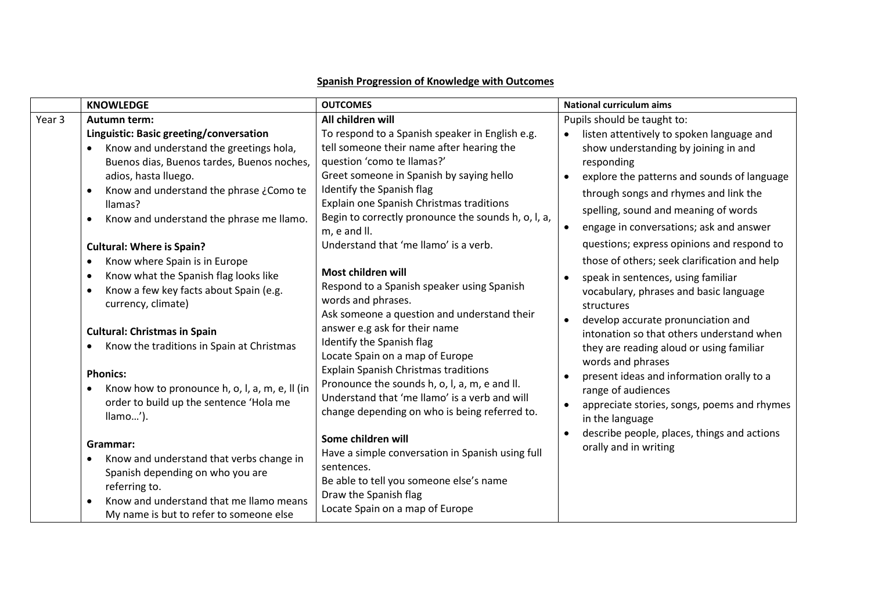|        | <b>KNOWLEDGE</b>                                                                                                                                                                                                                                                                                                                                                                                                                                            | <b>OUTCOMES</b>                                                                                                                                                                                                                                                                                                                                                                                                                          | <b>National curriculum aims</b>                                                                                                                                                                                                                                                                                                                                                                                                                                                         |
|--------|-------------------------------------------------------------------------------------------------------------------------------------------------------------------------------------------------------------------------------------------------------------------------------------------------------------------------------------------------------------------------------------------------------------------------------------------------------------|------------------------------------------------------------------------------------------------------------------------------------------------------------------------------------------------------------------------------------------------------------------------------------------------------------------------------------------------------------------------------------------------------------------------------------------|-----------------------------------------------------------------------------------------------------------------------------------------------------------------------------------------------------------------------------------------------------------------------------------------------------------------------------------------------------------------------------------------------------------------------------------------------------------------------------------------|
| Year 3 | Autumn term:<br>Linguistic: Basic greeting/conversation                                                                                                                                                                                                                                                                                                                                                                                                     | All children will<br>To respond to a Spanish speaker in English e.g.                                                                                                                                                                                                                                                                                                                                                                     | Pupils should be taught to:<br>listen attentively to spoken language and<br>$\bullet$                                                                                                                                                                                                                                                                                                                                                                                                   |
|        | Know and understand the greetings hola,<br>$\bullet$<br>Buenos dias, Buenos tardes, Buenos noches,<br>adios, hasta Iluego.<br>Know and understand the phrase ¿Como te<br>$\bullet$<br>llamas?<br>Know and understand the phrase me llamo.<br>$\bullet$                                                                                                                                                                                                      | tell someone their name after hearing the<br>question 'como te llamas?'<br>Greet someone in Spanish by saying hello<br>Identify the Spanish flag<br>Explain one Spanish Christmas traditions<br>Begin to correctly pronounce the sounds h, o, l, a,<br>m, e and II.<br>Understand that 'me llamo' is a verb.                                                                                                                             | show understanding by joining in and<br>responding<br>explore the patterns and sounds of language<br>$\bullet$<br>through songs and rhymes and link the<br>spelling, sound and meaning of words<br>engage in conversations; ask and answer<br>$\bullet$<br>questions; express opinions and respond to                                                                                                                                                                                   |
|        | <b>Cultural: Where is Spain?</b><br>Know where Spain is in Europe<br>$\bullet$<br>Know what the Spanish flag looks like<br>$\bullet$<br>Know a few key facts about Spain (e.g.<br>$\bullet$<br>currency, climate)<br><b>Cultural: Christmas in Spain</b><br>Know the traditions in Spain at Christmas<br>$\bullet$<br><b>Phonics:</b><br>Know how to pronounce h, o, l, a, m, e, ll (in<br>$\bullet$<br>order to build up the sentence 'Hola me<br>llamo'). | Most children will<br>Respond to a Spanish speaker using Spanish<br>words and phrases.<br>Ask someone a question and understand their<br>answer e.g ask for their name<br>Identify the Spanish flag<br>Locate Spain on a map of Europe<br><b>Explain Spanish Christmas traditions</b><br>Pronounce the sounds h, o, l, a, m, e and ll.<br>Understand that 'me llamo' is a verb and will<br>change depending on who is being referred to. | those of others; seek clarification and help<br>speak in sentences, using familiar<br>$\bullet$<br>vocabulary, phrases and basic language<br>structures<br>develop accurate pronunciation and<br>$\bullet$<br>intonation so that others understand when<br>they are reading aloud or using familiar<br>words and phrases<br>present ideas and information orally to a<br>$\bullet$<br>range of audiences<br>appreciate stories, songs, poems and rhymes<br>$\bullet$<br>in the language |
|        | Grammar:<br>Know and understand that verbs change in<br>Spanish depending on who you are<br>referring to.<br>Know and understand that me Ilamo means<br>My name is but to refer to someone else                                                                                                                                                                                                                                                             | Some children will<br>Have a simple conversation in Spanish using full<br>sentences.<br>Be able to tell you someone else's name<br>Draw the Spanish flag<br>Locate Spain on a map of Europe                                                                                                                                                                                                                                              | describe people, places, things and actions<br>$\bullet$<br>orally and in writing                                                                                                                                                                                                                                                                                                                                                                                                       |

## **Spanish Progression of Knowledge with Outcomes**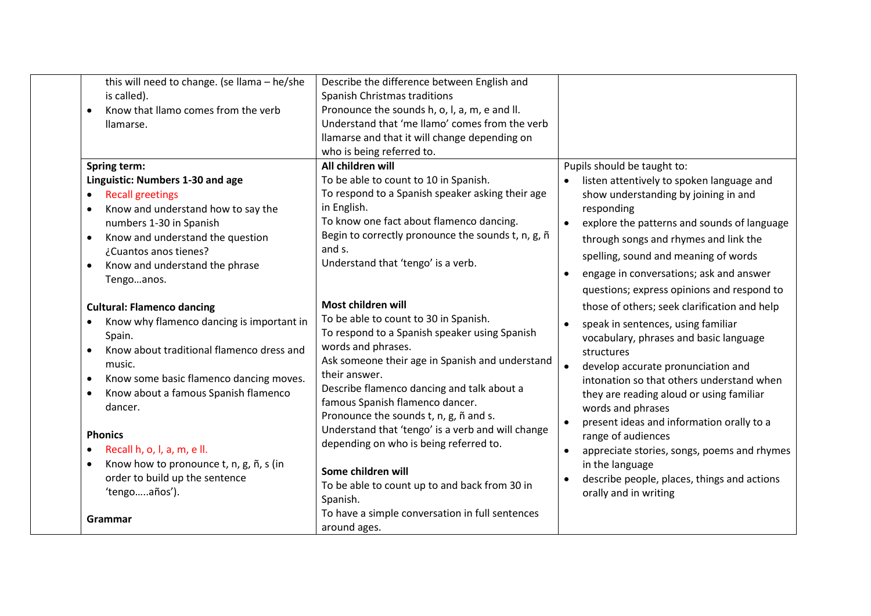| this will need to change. (se llama - he/she<br>is called).<br>Know that Ilamo comes from the verb<br>llamarse.                                                                                                                                  | Describe the difference between English and<br>Spanish Christmas traditions<br>Pronounce the sounds h, o, l, a, m, e and ll.<br>Understand that 'me llamo' comes from the verb<br>llamarse and that it will change depending on<br>who is being referred to.                                                |                                                                                                                                                                                                                                                                                                                                    |
|--------------------------------------------------------------------------------------------------------------------------------------------------------------------------------------------------------------------------------------------------|-------------------------------------------------------------------------------------------------------------------------------------------------------------------------------------------------------------------------------------------------------------------------------------------------------------|------------------------------------------------------------------------------------------------------------------------------------------------------------------------------------------------------------------------------------------------------------------------------------------------------------------------------------|
| Spring term:<br>Linguistic: Numbers 1-30 and age<br><b>Recall greetings</b><br>$\bullet$<br>Know and understand how to say the<br>$\bullet$<br>numbers 1-30 in Spanish<br>Know and understand the question<br>$\bullet$<br>¿Cuantos anos tienes? | All children will<br>To be able to count to 10 in Spanish.<br>To respond to a Spanish speaker asking their age<br>in English.<br>To know one fact about flamenco dancing.<br>Begin to correctly pronounce the sounds t, n, g, ñ<br>and s.                                                                   | Pupils should be taught to:<br>listen attentively to spoken language and<br>show understanding by joining in and<br>responding<br>explore the patterns and sounds of language<br>through songs and rhymes and link the<br>spelling, sound and meaning of words                                                                     |
| Know and understand the phrase<br>$\bullet$<br>Tengoanos.<br><b>Cultural: Flamenco dancing</b>                                                                                                                                                   | Understand that 'tengo' is a verb.<br>Most children will                                                                                                                                                                                                                                                    | engage in conversations; ask and answer<br>$\bullet$<br>questions; express opinions and respond to<br>those of others; seek clarification and help                                                                                                                                                                                 |
| Know why flamenco dancing is important in<br>Spain.<br>Know about traditional flamenco dress and<br>music.<br>Know some basic flamenco dancing moves.<br>$\bullet$<br>Know about a famous Spanish flamenco<br>$\bullet$<br>dancer.               | To be able to count to 30 in Spanish.<br>To respond to a Spanish speaker using Spanish<br>words and phrases.<br>Ask someone their age in Spanish and understand<br>their answer.<br>Describe flamenco dancing and talk about a<br>famous Spanish flamenco dancer.<br>Pronounce the sounds t, n, g, ñ and s. | speak in sentences, using familiar<br>$\bullet$<br>vocabulary, phrases and basic language<br>structures<br>$\bullet$<br>develop accurate pronunciation and<br>intonation so that others understand when<br>they are reading aloud or using familiar<br>words and phrases<br>present ideas and information orally to a<br>$\bullet$ |
| <b>Phonics</b><br>Recall h, o, l, a, m, e ll.<br>$\bullet$<br>Know how to pronounce t, n, g, ñ, s (in<br>order to build up the sentence<br>'tengoaños').                                                                                         | Understand that 'tengo' is a verb and will change<br>depending on who is being referred to.<br>Some children will<br>To be able to count up to and back from 30 in<br>Spanish.                                                                                                                              | range of audiences<br>appreciate stories, songs, poems and rhymes<br>in the language<br>describe people, places, things and actions<br>$\bullet$<br>orally and in writing                                                                                                                                                          |
| Grammar                                                                                                                                                                                                                                          | To have a simple conversation in full sentences<br>around ages.                                                                                                                                                                                                                                             |                                                                                                                                                                                                                                                                                                                                    |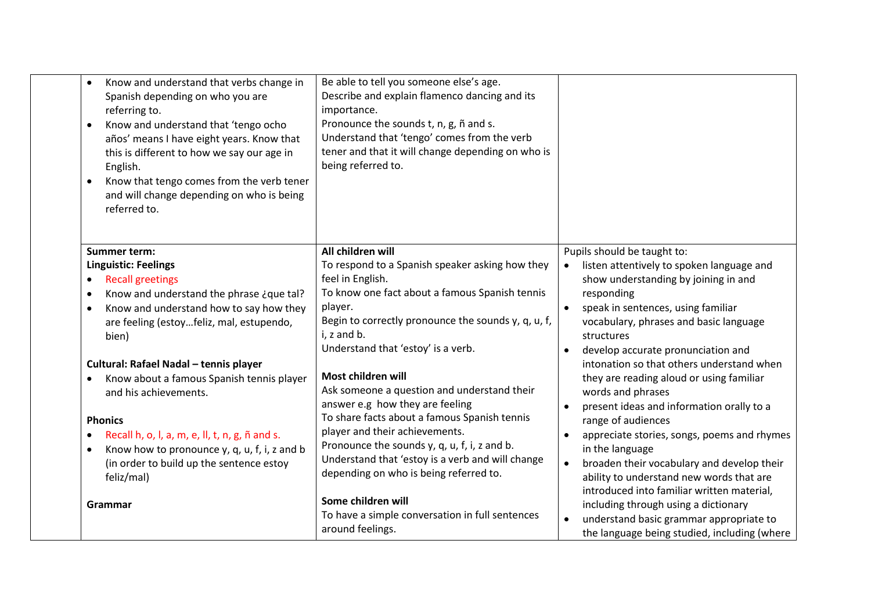| Know and understand that verbs change in<br>$\bullet$<br>Spanish depending on who you are<br>referring to.<br>Know and understand that 'tengo ocho<br>$\bullet$<br>años' means I have eight years. Know that<br>this is different to how we say our age in<br>English.<br>Know that tengo comes from the verb tener<br>$\bullet$<br>and will change depending on who is being<br>referred to. | Be able to tell you someone else's age.<br>Describe and explain flamenco dancing and its<br>importance.<br>Pronounce the sounds t, n, g, ñ and s.<br>Understand that 'tengo' comes from the verb<br>tener and that it will change depending on who is<br>being referred to. |                                                                                              |
|-----------------------------------------------------------------------------------------------------------------------------------------------------------------------------------------------------------------------------------------------------------------------------------------------------------------------------------------------------------------------------------------------|-----------------------------------------------------------------------------------------------------------------------------------------------------------------------------------------------------------------------------------------------------------------------------|----------------------------------------------------------------------------------------------|
| <b>Summer term:</b>                                                                                                                                                                                                                                                                                                                                                                           | All children will                                                                                                                                                                                                                                                           | Pupils should be taught to:                                                                  |
| <b>Linguistic: Feelings</b>                                                                                                                                                                                                                                                                                                                                                                   | To respond to a Spanish speaker asking how they                                                                                                                                                                                                                             | listen attentively to spoken language and<br>$\bullet$                                       |
| <b>Recall greetings</b><br>$\bullet$                                                                                                                                                                                                                                                                                                                                                          | feel in English.                                                                                                                                                                                                                                                            | show understanding by joining in and                                                         |
| Know and understand the phrase ¿que tal?<br>$\bullet$                                                                                                                                                                                                                                                                                                                                         | To know one fact about a famous Spanish tennis                                                                                                                                                                                                                              | responding                                                                                   |
| Know and understand how to say how they<br>$\bullet$                                                                                                                                                                                                                                                                                                                                          | player.                                                                                                                                                                                                                                                                     | speak in sentences, using familiar                                                           |
| are feeling (estoyfeliz, mal, estupendo,                                                                                                                                                                                                                                                                                                                                                      | Begin to correctly pronounce the sounds y, q, u, f,                                                                                                                                                                                                                         | vocabulary, phrases and basic language                                                       |
| bien)                                                                                                                                                                                                                                                                                                                                                                                         | i, z and b.<br>Understand that 'estoy' is a verb.                                                                                                                                                                                                                           | structures                                                                                   |
|                                                                                                                                                                                                                                                                                                                                                                                               |                                                                                                                                                                                                                                                                             | develop accurate pronunciation and<br>$\bullet$<br>intonation so that others understand when |
| Cultural: Rafael Nadal - tennis player<br>Know about a famous Spanish tennis player                                                                                                                                                                                                                                                                                                           | Most children will                                                                                                                                                                                                                                                          | they are reading aloud or using familiar                                                     |
| and his achievements.                                                                                                                                                                                                                                                                                                                                                                         | Ask someone a question and understand their                                                                                                                                                                                                                                 | words and phrases                                                                            |
|                                                                                                                                                                                                                                                                                                                                                                                               | answer e.g how they are feeling                                                                                                                                                                                                                                             | present ideas and information orally to a<br>$\bullet$                                       |
| <b>Phonics</b>                                                                                                                                                                                                                                                                                                                                                                                | To share facts about a famous Spanish tennis                                                                                                                                                                                                                                | range of audiences                                                                           |
| Recall h, o, l, a, m, e, ll, t, n, g, ñ and s.                                                                                                                                                                                                                                                                                                                                                | player and their achievements.                                                                                                                                                                                                                                              | appreciate stories, songs, poems and rhymes                                                  |
| Know how to pronounce y, q, u, f, i, z and b<br>$\bullet$                                                                                                                                                                                                                                                                                                                                     | Pronounce the sounds y, q, u, f, i, z and b.                                                                                                                                                                                                                                | in the language                                                                              |
| (in order to build up the sentence estoy                                                                                                                                                                                                                                                                                                                                                      | Understand that 'estoy is a verb and will change                                                                                                                                                                                                                            | broaden their vocabulary and develop their<br>$\bullet$                                      |
| feliz/mal)                                                                                                                                                                                                                                                                                                                                                                                    | depending on who is being referred to.                                                                                                                                                                                                                                      | ability to understand new words that are                                                     |
|                                                                                                                                                                                                                                                                                                                                                                                               |                                                                                                                                                                                                                                                                             | introduced into familiar written material,                                                   |
| Grammar                                                                                                                                                                                                                                                                                                                                                                                       | Some children will                                                                                                                                                                                                                                                          | including through using a dictionary                                                         |
|                                                                                                                                                                                                                                                                                                                                                                                               | To have a simple conversation in full sentences                                                                                                                                                                                                                             | understand basic grammar appropriate to<br>$\bullet$                                         |
|                                                                                                                                                                                                                                                                                                                                                                                               | around feelings.                                                                                                                                                                                                                                                            | the language being studied, including (where                                                 |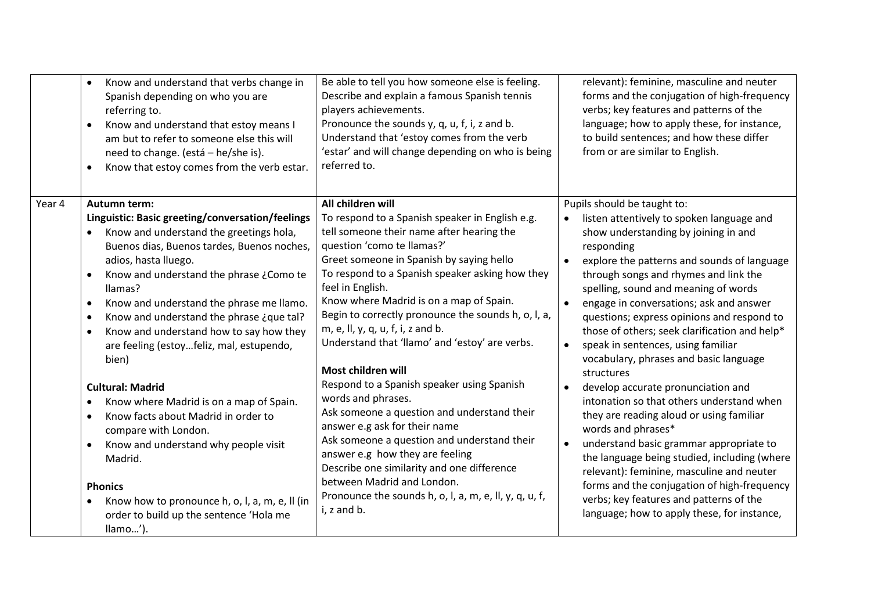|        | Know and understand that verbs change in<br>Spanish depending on who you are<br>referring to.<br>Know and understand that estoy means I<br>$\bullet$<br>am but to refer to someone else this will<br>need to change. (está - he/she is).<br>Know that estoy comes from the verb estar.<br>$\bullet$                                                                                                                                                    | Be able to tell you how someone else is feeling.<br>Describe and explain a famous Spanish tennis<br>players achievements.<br>Pronounce the sounds y, q, u, f, i, z and b.<br>Understand that 'estoy comes from the verb<br>'estar' and will change depending on who is being<br>referred to.                                                                                                                                                                 | relevant): feminine, masculine and neuter<br>forms and the conjugation of high-frequency<br>verbs; key features and patterns of the<br>language; how to apply these, for instance,<br>to build sentences; and how these differ<br>from or are similar to English.                                                                                                                                                                                                                                                           |
|--------|--------------------------------------------------------------------------------------------------------------------------------------------------------------------------------------------------------------------------------------------------------------------------------------------------------------------------------------------------------------------------------------------------------------------------------------------------------|--------------------------------------------------------------------------------------------------------------------------------------------------------------------------------------------------------------------------------------------------------------------------------------------------------------------------------------------------------------------------------------------------------------------------------------------------------------|-----------------------------------------------------------------------------------------------------------------------------------------------------------------------------------------------------------------------------------------------------------------------------------------------------------------------------------------------------------------------------------------------------------------------------------------------------------------------------------------------------------------------------|
| Year 4 | Autumn term:                                                                                                                                                                                                                                                                                                                                                                                                                                           | All children will                                                                                                                                                                                                                                                                                                                                                                                                                                            | Pupils should be taught to:                                                                                                                                                                                                                                                                                                                                                                                                                                                                                                 |
|        | Linguistic: Basic greeting/conversation/feelings<br>Know and understand the greetings hola,<br>Buenos dias, Buenos tardes, Buenos noches,<br>adios, hasta Iluego.<br>Know and understand the phrase ¿Como te<br>llamas?<br>Know and understand the phrase me llamo.<br>$\bullet$<br>Know and understand the phrase ¿que tal?<br>$\bullet$<br>Know and understand how to say how they<br>$\bullet$<br>are feeling (estoyfeliz, mal, estupendo,<br>bien) | To respond to a Spanish speaker in English e.g.<br>tell someone their name after hearing the<br>question 'como te llamas?'<br>Greet someone in Spanish by saying hello<br>To respond to a Spanish speaker asking how they<br>feel in English.<br>Know where Madrid is on a map of Spain.<br>Begin to correctly pronounce the sounds h, o, l, a,<br>m, e, ll, y, q, u, f, i, z and b.<br>Understand that 'llamo' and 'estoy' are verbs.<br>Most children will | listen attentively to spoken language and<br>$\bullet$<br>show understanding by joining in and<br>responding<br>explore the patterns and sounds of language<br>$\bullet$<br>through songs and rhymes and link the<br>spelling, sound and meaning of words<br>engage in conversations; ask and answer<br>$\bullet$<br>questions; express opinions and respond to<br>those of others; seek clarification and help*<br>speak in sentences, using familiar<br>$\bullet$<br>vocabulary, phrases and basic language<br>structures |
|        | <b>Cultural: Madrid</b>                                                                                                                                                                                                                                                                                                                                                                                                                                | Respond to a Spanish speaker using Spanish                                                                                                                                                                                                                                                                                                                                                                                                                   | develop accurate pronunciation and<br>$\bullet$                                                                                                                                                                                                                                                                                                                                                                                                                                                                             |
|        | Know where Madrid is on a map of Spain.<br>$\bullet$<br>Know facts about Madrid in order to<br>$\bullet$<br>compare with London.<br>Know and understand why people visit<br>٠<br>Madrid.                                                                                                                                                                                                                                                               | words and phrases.<br>Ask someone a question and understand their<br>answer e.g ask for their name<br>Ask someone a question and understand their<br>answer e.g how they are feeling<br>Describe one similarity and one difference                                                                                                                                                                                                                           | intonation so that others understand when<br>they are reading aloud or using familiar<br>words and phrases*<br>understand basic grammar appropriate to<br>the language being studied, including (where<br>relevant): feminine, masculine and neuter                                                                                                                                                                                                                                                                         |
|        | <b>Phonics</b>                                                                                                                                                                                                                                                                                                                                                                                                                                         | between Madrid and London.                                                                                                                                                                                                                                                                                                                                                                                                                                   | forms and the conjugation of high-frequency                                                                                                                                                                                                                                                                                                                                                                                                                                                                                 |
|        | Know how to pronounce h, o, l, a, m, e, ll (in<br>order to build up the sentence 'Hola me<br>llamo').                                                                                                                                                                                                                                                                                                                                                  | Pronounce the sounds h, o, l, a, m, e, ll, y, q, u, f,<br>i, z and b.                                                                                                                                                                                                                                                                                                                                                                                        | verbs; key features and patterns of the<br>language; how to apply these, for instance,                                                                                                                                                                                                                                                                                                                                                                                                                                      |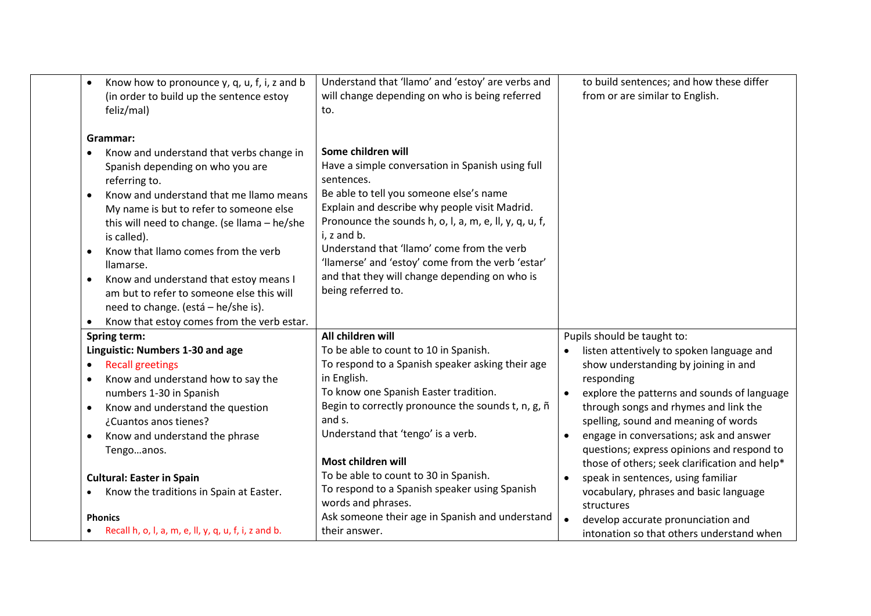| Know how to pronounce y, q, u, f, i, z and b<br>(in order to build up the sentence estoy<br>feliz/mal)                                                                                                                                                                                                                                                                                                                                                                                         | Understand that 'llamo' and 'estoy' are verbs and<br>will change depending on who is being referred<br>to.                                                                                                                                                                                                                                                                                                                          | to build sentences; and how these differ<br>from or are similar to English.                                                                                                                                                                                                                                                                                                                                  |
|------------------------------------------------------------------------------------------------------------------------------------------------------------------------------------------------------------------------------------------------------------------------------------------------------------------------------------------------------------------------------------------------------------------------------------------------------------------------------------------------|-------------------------------------------------------------------------------------------------------------------------------------------------------------------------------------------------------------------------------------------------------------------------------------------------------------------------------------------------------------------------------------------------------------------------------------|--------------------------------------------------------------------------------------------------------------------------------------------------------------------------------------------------------------------------------------------------------------------------------------------------------------------------------------------------------------------------------------------------------------|
| Grammar:<br>Know and understand that verbs change in<br>Spanish depending on who you are<br>referring to.<br>Know and understand that me Ilamo means<br>My name is but to refer to someone else<br>this will need to change. (se llama - he/she<br>is called).<br>Know that Ilamo comes from the verb<br>llamarse.<br>Know and understand that estoy means I<br>am but to refer to someone else this will<br>need to change. (está - he/she is).<br>Know that estoy comes from the verb estar. | Some children will<br>Have a simple conversation in Spanish using full<br>sentences.<br>Be able to tell you someone else's name<br>Explain and describe why people visit Madrid.<br>Pronounce the sounds h, o, l, a, m, e, ll, y, q, u, f,<br>i, z and b.<br>Understand that 'llamo' come from the verb<br>'llamerse' and 'estoy' come from the verb 'estar'<br>and that they will change depending on who is<br>being referred to. |                                                                                                                                                                                                                                                                                                                                                                                                              |
| Spring term:                                                                                                                                                                                                                                                                                                                                                                                                                                                                                   | All children will                                                                                                                                                                                                                                                                                                                                                                                                                   | Pupils should be taught to:                                                                                                                                                                                                                                                                                                                                                                                  |
| Linguistic: Numbers 1-30 and age                                                                                                                                                                                                                                                                                                                                                                                                                                                               | To be able to count to 10 in Spanish.                                                                                                                                                                                                                                                                                                                                                                                               | listen attentively to spoken language and<br>$\bullet$                                                                                                                                                                                                                                                                                                                                                       |
| <b>Recall greetings</b><br>$\bullet$<br>Know and understand how to say the<br>numbers 1-30 in Spanish<br>Know and understand the question<br>$\bullet$<br>¿Cuantos anos tienes?<br>Know and understand the phrase<br>Tengoanos.<br><b>Cultural: Easter in Spain</b><br>Know the traditions in Spain at Easter.                                                                                                                                                                                 | To respond to a Spanish speaker asking their age<br>in English.<br>To know one Spanish Easter tradition.<br>Begin to correctly pronounce the sounds t, n, g, ñ<br>and s.<br>Understand that 'tengo' is a verb.<br>Most children will<br>To be able to count to 30 in Spanish.<br>To respond to a Spanish speaker using Spanish                                                                                                      | show understanding by joining in and<br>responding<br>explore the patterns and sounds of language<br>through songs and rhymes and link the<br>spelling, sound and meaning of words<br>engage in conversations; ask and answer<br>questions; express opinions and respond to<br>those of others; seek clarification and help*<br>speak in sentences, using familiar<br>vocabulary, phrases and basic language |
|                                                                                                                                                                                                                                                                                                                                                                                                                                                                                                | words and phrases.                                                                                                                                                                                                                                                                                                                                                                                                                  | structures                                                                                                                                                                                                                                                                                                                                                                                                   |
| <b>Phonics</b><br>Recall h, o, l, a, m, e, ll, y, q, u, f, i, z and b.                                                                                                                                                                                                                                                                                                                                                                                                                         | Ask someone their age in Spanish and understand<br>their answer.                                                                                                                                                                                                                                                                                                                                                                    | develop accurate pronunciation and<br>intonation so that others understand when                                                                                                                                                                                                                                                                                                                              |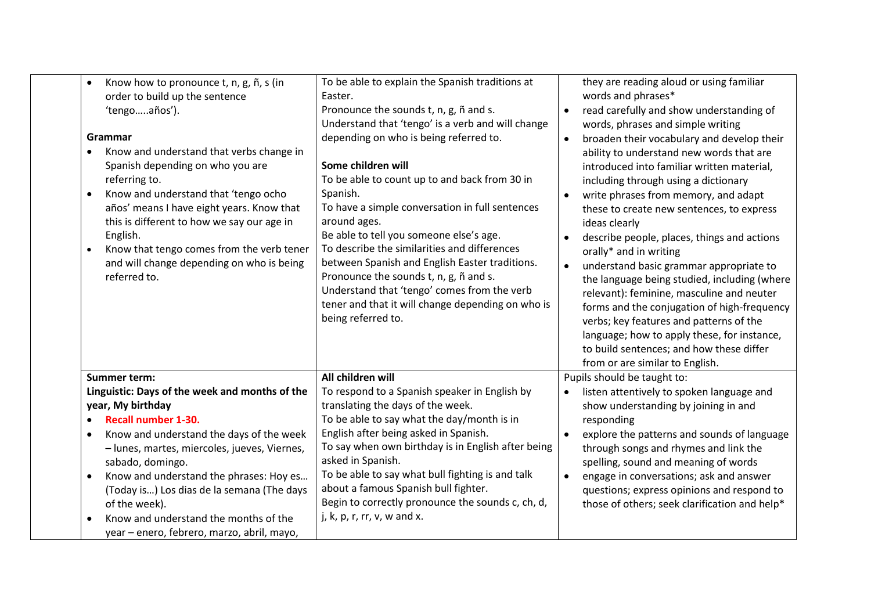| Know how to pronounce t, n, g, ñ, s (in<br>$\bullet$<br>order to build up the sentence<br>'tengoaños').<br>Grammar<br>Know and understand that verbs change in<br>$\bullet$<br>Spanish depending on who you are<br>referring to.<br>Know and understand that 'tengo ocho<br>$\bullet$<br>años' means I have eight years. Know that<br>this is different to how we say our age in<br>English.<br>Know that tengo comes from the verb tener<br>$\bullet$<br>and will change depending on who is being<br>referred to. | To be able to explain the Spanish traditions at<br>Easter.<br>Pronounce the sounds t, n, g, ñ and s.<br>Understand that 'tengo' is a verb and will change<br>depending on who is being referred to.<br>Some children will<br>To be able to count up to and back from 30 in<br>Spanish.<br>To have a simple conversation in full sentences<br>around ages.<br>Be able to tell you someone else's age.<br>To describe the similarities and differences<br>between Spanish and English Easter traditions.<br>Pronounce the sounds t, n, g, ñ and s.<br>Understand that 'tengo' comes from the verb<br>tener and that it will change depending on who is<br>being referred to. | they are reading aloud or using familiar<br>words and phrases*<br>read carefully and show understanding of<br>$\bullet$<br>words, phrases and simple writing<br>broaden their vocabulary and develop their<br>$\bullet$<br>ability to understand new words that are<br>introduced into familiar written material,<br>including through using a dictionary<br>write phrases from memory, and adapt<br>these to create new sentences, to express<br>ideas clearly<br>describe people, places, things and actions<br>orally* and in writing<br>understand basic grammar appropriate to<br>the language being studied, including (where<br>relevant): feminine, masculine and neuter<br>forms and the conjugation of high-frequency<br>verbs; key features and patterns of the<br>language; how to apply these, for instance,<br>to build sentences; and how these differ<br>from or are similar to English. |
|---------------------------------------------------------------------------------------------------------------------------------------------------------------------------------------------------------------------------------------------------------------------------------------------------------------------------------------------------------------------------------------------------------------------------------------------------------------------------------------------------------------------|----------------------------------------------------------------------------------------------------------------------------------------------------------------------------------------------------------------------------------------------------------------------------------------------------------------------------------------------------------------------------------------------------------------------------------------------------------------------------------------------------------------------------------------------------------------------------------------------------------------------------------------------------------------------------|----------------------------------------------------------------------------------------------------------------------------------------------------------------------------------------------------------------------------------------------------------------------------------------------------------------------------------------------------------------------------------------------------------------------------------------------------------------------------------------------------------------------------------------------------------------------------------------------------------------------------------------------------------------------------------------------------------------------------------------------------------------------------------------------------------------------------------------------------------------------------------------------------------|
| <b>Summer term:</b><br>Linguistic: Days of the week and months of the<br>year, My birthday<br><b>Recall number 1-30.</b><br>$\bullet$<br>Know and understand the days of the week<br>$\bullet$<br>- lunes, martes, miercoles, jueves, Viernes,<br>sabado, domingo.<br>Know and understand the phrases: Hoy es<br>$\bullet$<br>(Today is) Los dias de la semana (The days<br>of the week).<br>Know and understand the months of the<br>year - enero, febrero, marzo, abril, mayo,                                    | All children will<br>To respond to a Spanish speaker in English by<br>translating the days of the week.<br>To be able to say what the day/month is in<br>English after being asked in Spanish.<br>To say when own birthday is in English after being<br>asked in Spanish.<br>To be able to say what bull fighting is and talk<br>about a famous Spanish bull fighter.<br>Begin to correctly pronounce the sounds c, ch, d,<br>j, $k$ , $p$ , $r$ , $rr$ , $v$ , $w$ and $x$ .                                                                                                                                                                                              | Pupils should be taught to:<br>listen attentively to spoken language and<br>show understanding by joining in and<br>responding<br>explore the patterns and sounds of language<br>through songs and rhymes and link the<br>spelling, sound and meaning of words<br>engage in conversations; ask and answer<br>$\bullet$<br>questions; express opinions and respond to<br>those of others; seek clarification and help*                                                                                                                                                                                                                                                                                                                                                                                                                                                                                    |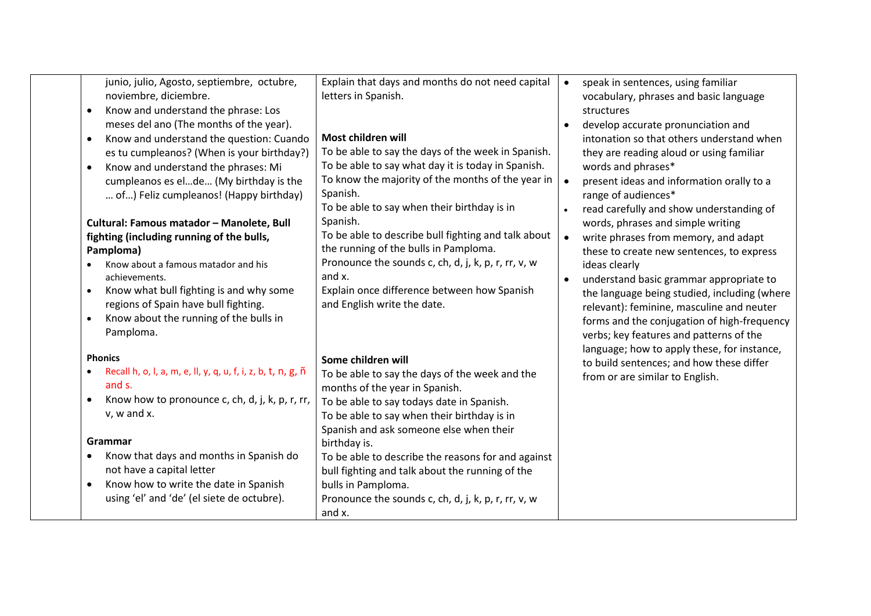| junio, julio, Agosto, septiembre, octubre,                   | Explain that days and months do not need capital              | speak in sentences, using familiar<br>$\bullet$                       |
|--------------------------------------------------------------|---------------------------------------------------------------|-----------------------------------------------------------------------|
| noviembre, diciembre.                                        | letters in Spanish.                                           | vocabulary, phrases and basic language                                |
| Know and understand the phrase: Los<br>$\bullet$             |                                                               | structures                                                            |
| meses del ano (The months of the year).                      |                                                               | develop accurate pronunciation and<br>$\bullet$                       |
| Know and understand the question: Cuando<br>$\bullet$        | Most children will                                            | intonation so that others understand when                             |
| es tu cumpleanos? (When is your birthday?)                   | To be able to say the days of the week in Spanish.            | they are reading aloud or using familiar                              |
| Know and understand the phrases: Mi<br>$\bullet$             | To be able to say what day it is today in Spanish.            | words and phrases*                                                    |
| cumpleanos es elde (My birthday is the                       | To know the majority of the months of the year in             | present ideas and information orally to a                             |
| of) Feliz cumpleanos! (Happy birthday)                       | Spanish.                                                      | range of audiences*                                                   |
|                                                              | To be able to say when their birthday is in                   | read carefully and show understanding of                              |
| Cultural: Famous matador - Manolete, Bull                    | Spanish.                                                      | words, phrases and simple writing                                     |
| fighting (including running of the bulls,                    | To be able to describe bull fighting and talk about           | write phrases from memory, and adapt                                  |
| Pamploma)                                                    | the running of the bulls in Pamploma.                         | these to create new sentences, to express                             |
| Know about a famous matador and his<br>achievements.         | Pronounce the sounds c, ch, d, j, k, p, r, rr, v, w<br>and x. | ideas clearly<br>understand basic grammar appropriate to<br>$\bullet$ |
| Know what bull fighting is and why some<br>$\bullet$         | Explain once difference between how Spanish                   | the language being studied, including (where                          |
| regions of Spain have bull fighting.                         | and English write the date.                                   | relevant): feminine, masculine and neuter                             |
| Know about the running of the bulls in<br>$\bullet$          |                                                               | forms and the conjugation of high-frequency                           |
| Pamploma.                                                    |                                                               | verbs; key features and patterns of the                               |
|                                                              |                                                               | language; how to apply these, for instance,                           |
| <b>Phonics</b>                                               | Some children will                                            | to build sentences; and how these differ                              |
| Recall h, o, l, a, m, e, ll, y, q, u, f, i, z, b, t, n, g, ñ | To be able to say the days of the week and the                | from or are similar to English.                                       |
| and s.                                                       | months of the year in Spanish.                                |                                                                       |
| Know how to pronounce c, ch, d, j, k, p, r, rr,<br>٠         | To be able to say todays date in Spanish.                     |                                                                       |
| v, w and x.                                                  | To be able to say when their birthday is in                   |                                                                       |
|                                                              | Spanish and ask someone else when their                       |                                                                       |
| Grammar                                                      | birthday is.                                                  |                                                                       |
| Know that days and months in Spanish do                      | To be able to describe the reasons for and against            |                                                                       |
| not have a capital letter                                    | bull fighting and talk about the running of the               |                                                                       |
| Know how to write the date in Spanish<br>$\bullet$           | bulls in Pamploma.                                            |                                                                       |
| using 'el' and 'de' (el siete de octubre).                   | Pronounce the sounds c, ch, d, j, k, p, r, rr, v, w           |                                                                       |
|                                                              | and x.                                                        |                                                                       |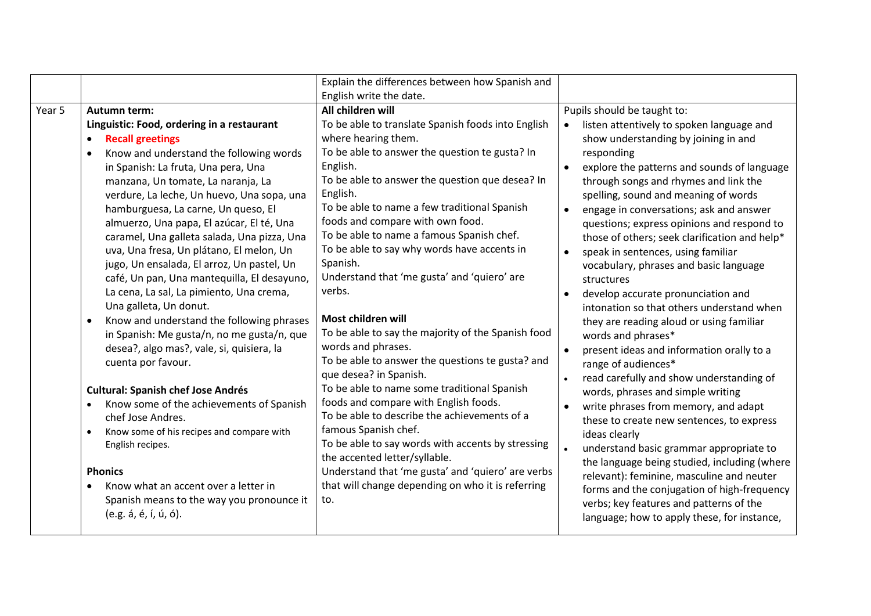| English write the date.<br>Year 5<br>All children will<br>Pupils should be taught to:<br>Autumn term:<br>To be able to translate Spanish foods into English<br>Linguistic: Food, ordering in a restaurant<br>listen attentively to spoken language and<br>$\bullet$<br>where hearing them.<br><b>Recall greetings</b><br>show understanding by joining in and<br>$\bullet$<br>To be able to answer the question te gusta? In<br>responding<br>Know and understand the following words<br>English.<br>in Spanish: La fruta, Una pera, Una<br>explore the patterns and sounds of language<br>$\bullet$<br>To be able to answer the question que desea? In<br>through songs and rhymes and link the<br>manzana, Un tomate, La naranja, La<br>English.<br>verdure, La leche, Un huevo, Una sopa, una<br>spelling, sound and meaning of words<br>To be able to name a few traditional Spanish<br>hamburguesa, La carne, Un queso, El<br>engage in conversations; ask and answer<br>$\bullet$<br>foods and compare with own food.<br>almuerzo, Una papa, El azúcar, El té, Una<br>questions; express opinions and respond to<br>To be able to name a famous Spanish chef.<br>caramel, Una galleta salada, Una pizza, Una<br>those of others; seek clarification and help*<br>To be able to say why words have accents in<br>uva, Una fresa, Un plátano, El melon, Un<br>speak in sentences, using familiar<br>$\bullet$<br>Spanish.<br>jugo, Un ensalada, El arroz, Un pastel, Un<br>vocabulary, phrases and basic language<br>Understand that 'me gusta' and 'quiero' are<br>café, Un pan, Una mantequilla, El desayuno,<br>structures<br>verbs.<br>La cena, La sal, La pimiento, Una crema,<br>develop accurate pronunciation and<br>$\bullet$<br>Una galleta, Un donut.<br>intonation so that others understand when<br>Most children will<br>Know and understand the following phrases<br>they are reading aloud or using familiar<br>$\bullet$<br>To be able to say the majority of the Spanish food<br>in Spanish: Me gusta/n, no me gusta/n, que<br>words and phrases*<br>words and phrases.<br>desea?, algo mas?, vale, si, quisiera, la<br>present ideas and information orally to a<br>$\bullet$<br>To be able to answer the questions te gusta? and<br>cuenta por favour.<br>range of audiences*<br>que desea? in Spanish.<br>read carefully and show understanding of<br>$\bullet$<br>To be able to name some traditional Spanish<br><b>Cultural: Spanish chef Jose Andrés</b><br>words, phrases and simple writing<br>foods and compare with English foods.<br>Know some of the achievements of Spanish<br>write phrases from memory, and adapt<br>To be able to describe the achievements of a<br>chef Jose Andres.<br>these to create new sentences, to express<br>famous Spanish chef.<br>Know some of his recipes and compare with<br>$\bullet$<br>ideas clearly<br>To be able to say words with accents by stressing<br>English recipes.<br>$\bullet$<br>understand basic grammar appropriate to<br>the accented letter/syllable.<br><b>Phonics</b><br>Understand that 'me gusta' and 'quiero' are verbs<br>relevant): feminine, masculine and neuter<br>that will change depending on who it is referring<br>Know what an accent over a letter in<br>Spanish means to the way you pronounce it<br>to.<br>verbs; key features and patterns of the |                       | Explain the differences between how Spanish and |                                                                                             |
|---------------------------------------------------------------------------------------------------------------------------------------------------------------------------------------------------------------------------------------------------------------------------------------------------------------------------------------------------------------------------------------------------------------------------------------------------------------------------------------------------------------------------------------------------------------------------------------------------------------------------------------------------------------------------------------------------------------------------------------------------------------------------------------------------------------------------------------------------------------------------------------------------------------------------------------------------------------------------------------------------------------------------------------------------------------------------------------------------------------------------------------------------------------------------------------------------------------------------------------------------------------------------------------------------------------------------------------------------------------------------------------------------------------------------------------------------------------------------------------------------------------------------------------------------------------------------------------------------------------------------------------------------------------------------------------------------------------------------------------------------------------------------------------------------------------------------------------------------------------------------------------------------------------------------------------------------------------------------------------------------------------------------------------------------------------------------------------------------------------------------------------------------------------------------------------------------------------------------------------------------------------------------------------------------------------------------------------------------------------------------------------------------------------------------------------------------------------------------------------------------------------------------------------------------------------------------------------------------------------------------------------------------------------------------------------------------------------------------------------------------------------------------------------------------------------------------------------------------------------------------------------------------------------------------------------------------------------------------------------------------------------------------------------------------------------------------------------------------------------------------------------------------------------------------------------------------------------------------------------------------------------------------------------------------------------------------------------------------------------|-----------------------|-------------------------------------------------|---------------------------------------------------------------------------------------------|
|                                                                                                                                                                                                                                                                                                                                                                                                                                                                                                                                                                                                                                                                                                                                                                                                                                                                                                                                                                                                                                                                                                                                                                                                                                                                                                                                                                                                                                                                                                                                                                                                                                                                                                                                                                                                                                                                                                                                                                                                                                                                                                                                                                                                                                                                                                                                                                                                                                                                                                                                                                                                                                                                                                                                                                                                                                                                                                                                                                                                                                                                                                                                                                                                                                                                                                                                                               |                       |                                                 |                                                                                             |
|                                                                                                                                                                                                                                                                                                                                                                                                                                                                                                                                                                                                                                                                                                                                                                                                                                                                                                                                                                                                                                                                                                                                                                                                                                                                                                                                                                                                                                                                                                                                                                                                                                                                                                                                                                                                                                                                                                                                                                                                                                                                                                                                                                                                                                                                                                                                                                                                                                                                                                                                                                                                                                                                                                                                                                                                                                                                                                                                                                                                                                                                                                                                                                                                                                                                                                                                                               |                       |                                                 |                                                                                             |
| language; how to apply these, for instance,                                                                                                                                                                                                                                                                                                                                                                                                                                                                                                                                                                                                                                                                                                                                                                                                                                                                                                                                                                                                                                                                                                                                                                                                                                                                                                                                                                                                                                                                                                                                                                                                                                                                                                                                                                                                                                                                                                                                                                                                                                                                                                                                                                                                                                                                                                                                                                                                                                                                                                                                                                                                                                                                                                                                                                                                                                                                                                                                                                                                                                                                                                                                                                                                                                                                                                                   | (e.g. á, é, í, ú, ó). |                                                 | the language being studied, including (where<br>forms and the conjugation of high-frequency |
|                                                                                                                                                                                                                                                                                                                                                                                                                                                                                                                                                                                                                                                                                                                                                                                                                                                                                                                                                                                                                                                                                                                                                                                                                                                                                                                                                                                                                                                                                                                                                                                                                                                                                                                                                                                                                                                                                                                                                                                                                                                                                                                                                                                                                                                                                                                                                                                                                                                                                                                                                                                                                                                                                                                                                                                                                                                                                                                                                                                                                                                                                                                                                                                                                                                                                                                                                               |                       |                                                 |                                                                                             |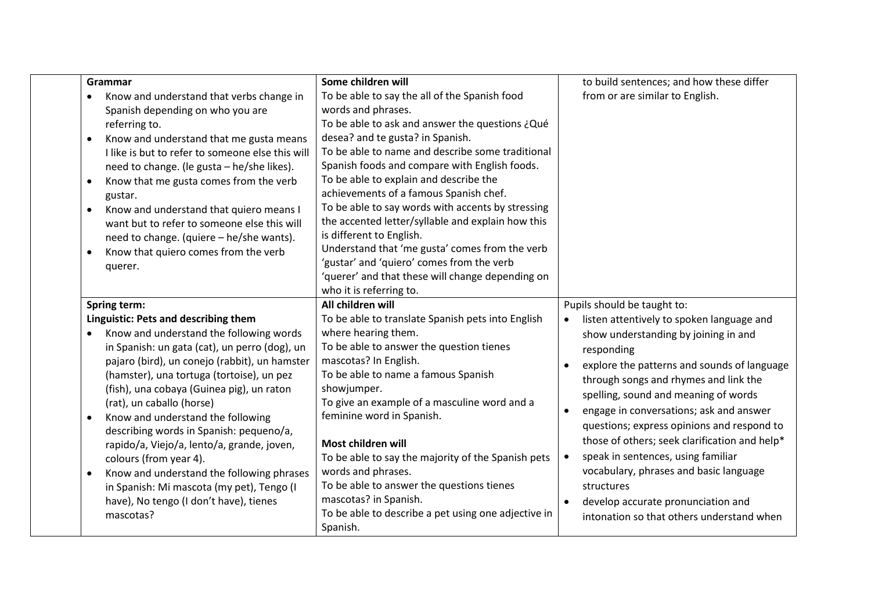| Grammar                                                                                                                                                                                                                                                                                                                                                                                                                                                                                                                                                                                                                                     | Some children will                                                                                                                                                                                                                                                                                                                                                                                                                                                                                                          | to build sentences; and how these differ                                                                                                                                                                                                                                                                                                                                                                                                                                                                                                                                                                       |
|---------------------------------------------------------------------------------------------------------------------------------------------------------------------------------------------------------------------------------------------------------------------------------------------------------------------------------------------------------------------------------------------------------------------------------------------------------------------------------------------------------------------------------------------------------------------------------------------------------------------------------------------|-----------------------------------------------------------------------------------------------------------------------------------------------------------------------------------------------------------------------------------------------------------------------------------------------------------------------------------------------------------------------------------------------------------------------------------------------------------------------------------------------------------------------------|----------------------------------------------------------------------------------------------------------------------------------------------------------------------------------------------------------------------------------------------------------------------------------------------------------------------------------------------------------------------------------------------------------------------------------------------------------------------------------------------------------------------------------------------------------------------------------------------------------------|
| Know and understand that verbs change in<br>Spanish depending on who you are<br>referring to.<br>Know and understand that me gusta means<br>$\bullet$<br>I like is but to refer to someone else this will<br>need to change. (le gusta - he/she likes).<br>Know that me gusta comes from the verb<br>$\bullet$<br>gustar.                                                                                                                                                                                                                                                                                                                   | To be able to say the all of the Spanish food<br>words and phrases.<br>To be able to ask and answer the questions ¿Qué<br>desea? and te gusta? in Spanish.<br>To be able to name and describe some traditional<br>Spanish foods and compare with English foods.<br>To be able to explain and describe the<br>achievements of a famous Spanish chef.                                                                                                                                                                         | from or are similar to English.                                                                                                                                                                                                                                                                                                                                                                                                                                                                                                                                                                                |
| Know and understand that quiero means I<br>$\bullet$<br>want but to refer to someone else this will<br>need to change. (quiere - he/she wants).<br>Know that quiero comes from the verb<br>$\bullet$<br>querer.                                                                                                                                                                                                                                                                                                                                                                                                                             | To be able to say words with accents by stressing<br>the accented letter/syllable and explain how this<br>is different to English.<br>Understand that 'me gusta' comes from the verb<br>'gustar' and 'quiero' comes from the verb<br>'querer' and that these will change depending on<br>who it is referring to.                                                                                                                                                                                                            |                                                                                                                                                                                                                                                                                                                                                                                                                                                                                                                                                                                                                |
| Spring term:                                                                                                                                                                                                                                                                                                                                                                                                                                                                                                                                                                                                                                | All children will                                                                                                                                                                                                                                                                                                                                                                                                                                                                                                           | Pupils should be taught to:                                                                                                                                                                                                                                                                                                                                                                                                                                                                                                                                                                                    |
| Linguistic: Pets and describing them<br>Know and understand the following words<br>in Spanish: un gata (cat), un perro (dog), un<br>pajaro (bird), un conejo (rabbit), un hamster<br>(hamster), una tortuga (tortoise), un pez<br>(fish), una cobaya (Guinea pig), un raton<br>(rat), un caballo (horse)<br>Know and understand the following<br>$\bullet$<br>describing words in Spanish: pequeno/a,<br>rapido/a, Viejo/a, lento/a, grande, joven,<br>colours (from year 4).<br>Know and understand the following phrases<br>$\bullet$<br>in Spanish: Mi mascota (my pet), Tengo (I<br>have), No tengo (I don't have), tienes<br>mascotas? | To be able to translate Spanish pets into English<br>where hearing them.<br>To be able to answer the question tienes<br>mascotas? In English.<br>To be able to name a famous Spanish<br>showjumper.<br>To give an example of a masculine word and a<br>feminine word in Spanish.<br>Most children will<br>To be able to say the majority of the Spanish pets<br>words and phrases.<br>To be able to answer the questions tienes<br>mascotas? in Spanish.<br>To be able to describe a pet using one adjective in<br>Spanish. | listen attentively to spoken language and<br>$\bullet$<br>show understanding by joining in and<br>responding<br>explore the patterns and sounds of language<br>$\bullet$<br>through songs and rhymes and link the<br>spelling, sound and meaning of words<br>engage in conversations; ask and answer<br>$\bullet$<br>questions; express opinions and respond to<br>those of others; seek clarification and help*<br>speak in sentences, using familiar<br>$\bullet$<br>vocabulary, phrases and basic language<br>structures<br>develop accurate pronunciation and<br>intonation so that others understand when |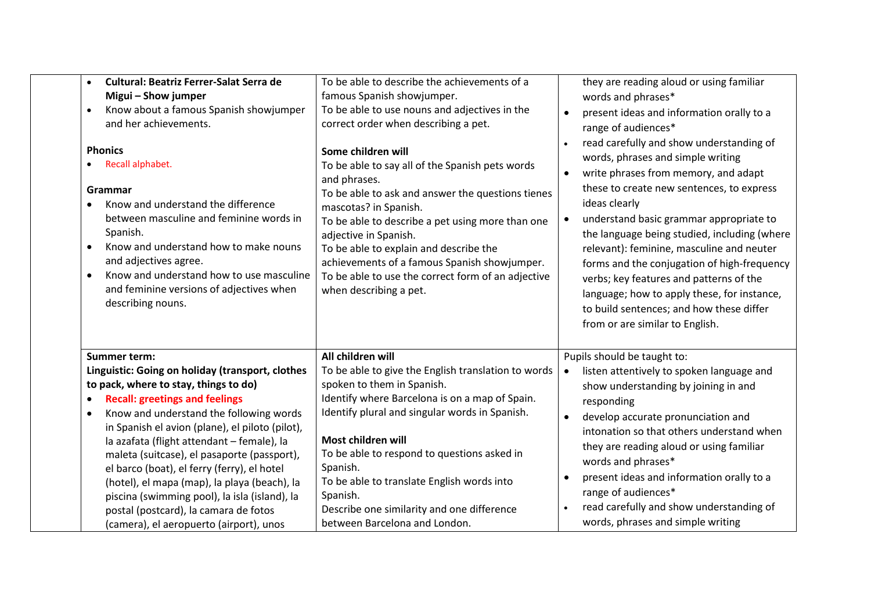| <b>Cultural: Beatriz Ferrer-Salat Serra de</b><br>$\bullet$<br>Migui - Show jumper<br>Know about a famous Spanish showjumper<br>and her achievements.<br><b>Phonics</b><br>Recall alphabet.<br>Grammar<br>Know and understand the difference<br>between masculine and feminine words in<br>Spanish.<br>Know and understand how to make nouns<br>$\bullet$<br>and adjectives agree.<br>Know and understand how to use masculine<br>and feminine versions of adjectives when<br>describing nouns.                                                                                                       | To be able to describe the achievements of a<br>famous Spanish showjumper.<br>To be able to use nouns and adjectives in the<br>correct order when describing a pet.<br>Some children will<br>To be able to say all of the Spanish pets words<br>and phrases.<br>To be able to ask and answer the questions tienes<br>mascotas? in Spanish.<br>To be able to describe a pet using more than one<br>adjective in Spanish.<br>To be able to explain and describe the<br>achievements of a famous Spanish showjumper.<br>To be able to use the correct form of an adjective<br>when describing a pet. | they are reading aloud or using familiar<br>words and phrases*<br>present ideas and information orally to a<br>$\bullet$<br>range of audiences*<br>read carefully and show understanding of<br>words, phrases and simple writing<br>write phrases from memory, and adapt<br>these to create new sentences, to express<br>ideas clearly<br>understand basic grammar appropriate to<br>$\bullet$<br>the language being studied, including (where<br>relevant): feminine, masculine and neuter<br>forms and the conjugation of high-frequency<br>verbs; key features and patterns of the<br>language; how to apply these, for instance,<br>to build sentences; and how these differ<br>from or are similar to English. |
|-------------------------------------------------------------------------------------------------------------------------------------------------------------------------------------------------------------------------------------------------------------------------------------------------------------------------------------------------------------------------------------------------------------------------------------------------------------------------------------------------------------------------------------------------------------------------------------------------------|---------------------------------------------------------------------------------------------------------------------------------------------------------------------------------------------------------------------------------------------------------------------------------------------------------------------------------------------------------------------------------------------------------------------------------------------------------------------------------------------------------------------------------------------------------------------------------------------------|---------------------------------------------------------------------------------------------------------------------------------------------------------------------------------------------------------------------------------------------------------------------------------------------------------------------------------------------------------------------------------------------------------------------------------------------------------------------------------------------------------------------------------------------------------------------------------------------------------------------------------------------------------------------------------------------------------------------|
| <b>Summer term:</b><br>Linguistic: Going on holiday (transport, clothes<br>to pack, where to stay, things to do)<br><b>Recall: greetings and feelings</b><br>Know and understand the following words<br>$\bullet$<br>in Spanish el avion (plane), el piloto (pilot),<br>la azafata (flight attendant - female), la<br>maleta (suitcase), el pasaporte (passport),<br>el barco (boat), el ferry (ferry), el hotel<br>(hotel), el mapa (map), la playa (beach), la<br>piscina (swimming pool), la isla (island), la<br>postal (postcard), la camara de fotos<br>(camera), el aeropuerto (airport), unos | All children will<br>To be able to give the English translation to words<br>spoken to them in Spanish.<br>Identify where Barcelona is on a map of Spain.<br>Identify plural and singular words in Spanish.<br>Most children will<br>To be able to respond to questions asked in<br>Spanish.<br>To be able to translate English words into<br>Spanish.<br>Describe one similarity and one difference<br>between Barcelona and London.                                                                                                                                                              | Pupils should be taught to:<br>listen attentively to spoken language and<br>$\bullet$<br>show understanding by joining in and<br>responding<br>develop accurate pronunciation and<br>$\bullet$<br>intonation so that others understand when<br>they are reading aloud or using familiar<br>words and phrases*<br>present ideas and information orally to a<br>range of audiences*<br>read carefully and show understanding of<br>words, phrases and simple writing                                                                                                                                                                                                                                                  |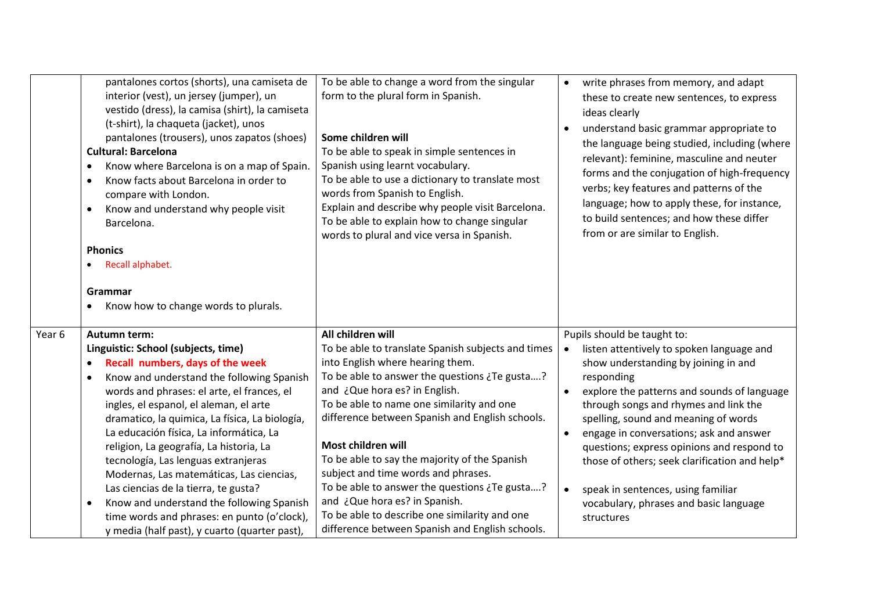|        | pantalones cortos (shorts), una camiseta de<br>interior (vest), un jersey (jumper), un<br>vestido (dress), la camisa (shirt), la camiseta<br>(t-shirt), la chaqueta (jacket), unos<br>pantalones (trousers), unos zapatos (shoes)<br><b>Cultural: Barcelona</b><br>Know where Barcelona is on a map of Spain.<br>٠<br>Know facts about Barcelona in order to<br>$\bullet$<br>compare with London.<br>Know and understand why people visit<br>٠<br>Barcelona.<br><b>Phonics</b><br>Recall alphabet.<br>Grammar<br>Know how to change words to plurals.                                                                                                         | To be able to change a word from the singular<br>form to the plural form in Spanish.<br>Some children will<br>To be able to speak in simple sentences in<br>Spanish using learnt vocabulary.<br>To be able to use a dictionary to translate most<br>words from Spanish to English.<br>Explain and describe why people visit Barcelona.<br>To be able to explain how to change singular<br>words to plural and vice versa in Spanish.                                                                                                                                                              | write phrases from memory, and adapt<br>$\bullet$<br>these to create new sentences, to express<br>ideas clearly<br>understand basic grammar appropriate to<br>the language being studied, including (where<br>relevant): feminine, masculine and neuter<br>forms and the conjugation of high-frequency<br>verbs; key features and patterns of the<br>language; how to apply these, for instance,<br>to build sentences; and how these differ<br>from or are similar to English.                                                               |
|--------|---------------------------------------------------------------------------------------------------------------------------------------------------------------------------------------------------------------------------------------------------------------------------------------------------------------------------------------------------------------------------------------------------------------------------------------------------------------------------------------------------------------------------------------------------------------------------------------------------------------------------------------------------------------|---------------------------------------------------------------------------------------------------------------------------------------------------------------------------------------------------------------------------------------------------------------------------------------------------------------------------------------------------------------------------------------------------------------------------------------------------------------------------------------------------------------------------------------------------------------------------------------------------|-----------------------------------------------------------------------------------------------------------------------------------------------------------------------------------------------------------------------------------------------------------------------------------------------------------------------------------------------------------------------------------------------------------------------------------------------------------------------------------------------------------------------------------------------|
| Year 6 | <b>Autumn term:</b><br>Linguistic: School (subjects, time)<br>Recall numbers, days of the week<br>٠<br>Know and understand the following Spanish<br>words and phrases: el arte, el frances, el<br>ingles, el espanol, el aleman, el arte<br>dramatico, la quimica, La física, La biología,<br>La educación física, La informática, La<br>religion, La geografía, La historia, La<br>tecnología, Las lenguas extranjeras<br>Modernas, Las matemáticas, Las ciencias,<br>Las ciencias de la tierra, te gusta?<br>Know and understand the following Spanish<br>٠<br>time words and phrases: en punto (o'clock),<br>y media (half past), y cuarto (quarter past), | All children will<br>To be able to translate Spanish subjects and times<br>into English where hearing them.<br>To be able to answer the questions ¿Te gusta?<br>and ¿Que hora es? in English.<br>To be able to name one similarity and one<br>difference between Spanish and English schools.<br>Most children will<br>To be able to say the majority of the Spanish<br>subject and time words and phrases.<br>To be able to answer the questions ¿Te gusta?<br>and ¿Que hora es? in Spanish.<br>To be able to describe one similarity and one<br>difference between Spanish and English schools. | Pupils should be taught to:<br>listen attentively to spoken language and<br>$\bullet$<br>show understanding by joining in and<br>responding<br>explore the patterns and sounds of language<br>through songs and rhymes and link the<br>spelling, sound and meaning of words<br>engage in conversations; ask and answer<br>$\bullet$<br>questions; express opinions and respond to<br>those of others; seek clarification and help*<br>speak in sentences, using familiar<br>$\bullet$<br>vocabulary, phrases and basic language<br>structures |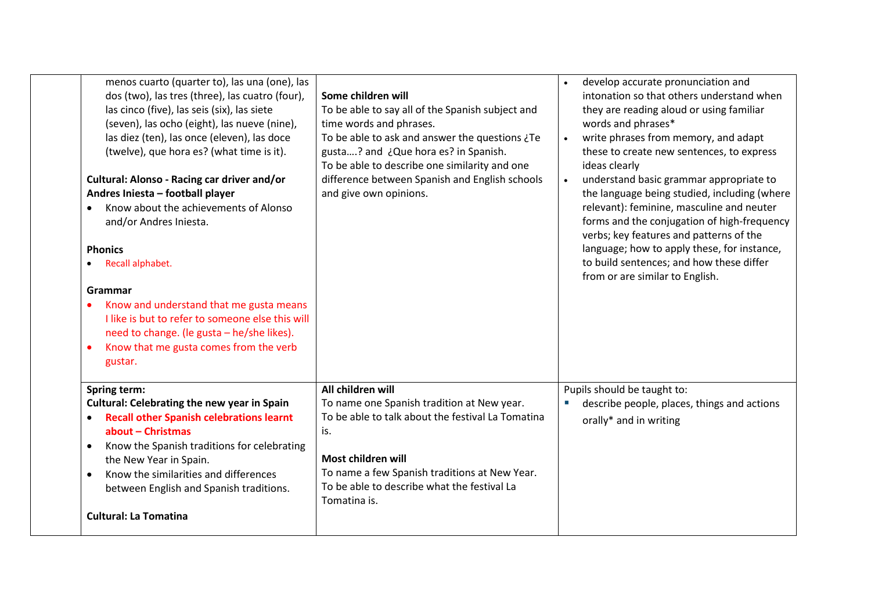| menos cuarto (quarter to), las una (one), las<br>dos (two), las tres (three), las cuatro (four),<br>las cinco (five), las seis (six), las siete<br>(seven), las ocho (eight), las nueve (nine),<br>las diez (ten), las once (eleven), las doce<br>(twelve), que hora es? (what time is it).<br>Cultural: Alonso - Racing car driver and/or<br>Andres Iniesta - football player<br>Know about the achievements of Alonso<br>$\bullet$<br>and/or Andres Iniesta.<br><b>Phonics</b><br>Recall alphabet.<br>Grammar<br>Know and understand that me gusta means<br>$\bullet$<br>I like is but to refer to someone else this will<br>need to change. (le gusta - he/she likes).<br>Know that me gusta comes from the verb<br>$\bullet$<br>gustar. | Some children will<br>To be able to say all of the Spanish subject and<br>time words and phrases.<br>To be able to ask and answer the questions ¿Te<br>gusta? and ¿Que hora es? in Spanish.<br>To be able to describe one similarity and one<br>difference between Spanish and English schools<br>and give own opinions. | develop accurate pronunciation and<br>$\bullet$<br>intonation so that others understand when<br>they are reading aloud or using familiar<br>words and phrases*<br>write phrases from memory, and adapt<br>$\bullet$<br>these to create new sentences, to express<br>ideas clearly<br>understand basic grammar appropriate to<br>$\bullet$<br>the language being studied, including (where<br>relevant): feminine, masculine and neuter<br>forms and the conjugation of high-frequency<br>verbs; key features and patterns of the<br>language; how to apply these, for instance,<br>to build sentences; and how these differ<br>from or are similar to English. |
|---------------------------------------------------------------------------------------------------------------------------------------------------------------------------------------------------------------------------------------------------------------------------------------------------------------------------------------------------------------------------------------------------------------------------------------------------------------------------------------------------------------------------------------------------------------------------------------------------------------------------------------------------------------------------------------------------------------------------------------------|--------------------------------------------------------------------------------------------------------------------------------------------------------------------------------------------------------------------------------------------------------------------------------------------------------------------------|----------------------------------------------------------------------------------------------------------------------------------------------------------------------------------------------------------------------------------------------------------------------------------------------------------------------------------------------------------------------------------------------------------------------------------------------------------------------------------------------------------------------------------------------------------------------------------------------------------------------------------------------------------------|
| <b>Spring term:</b><br><b>Cultural: Celebrating the new year in Spain</b><br><b>Recall other Spanish celebrations learnt</b><br>$\bullet$<br>about - Christmas<br>Know the Spanish traditions for celebrating<br>$\bullet$<br>the New Year in Spain.<br>Know the similarities and differences<br>$\bullet$<br>between English and Spanish traditions.<br><b>Cultural: La Tomatina</b>                                                                                                                                                                                                                                                                                                                                                       | All children will<br>To name one Spanish tradition at New year.<br>To be able to talk about the festival La Tomatina<br>is.<br>Most children will<br>To name a few Spanish traditions at New Year.<br>To be able to describe what the festival La<br>Tomatina is.                                                        | Pupils should be taught to:<br>describe people, places, things and actions<br>orally* and in writing                                                                                                                                                                                                                                                                                                                                                                                                                                                                                                                                                           |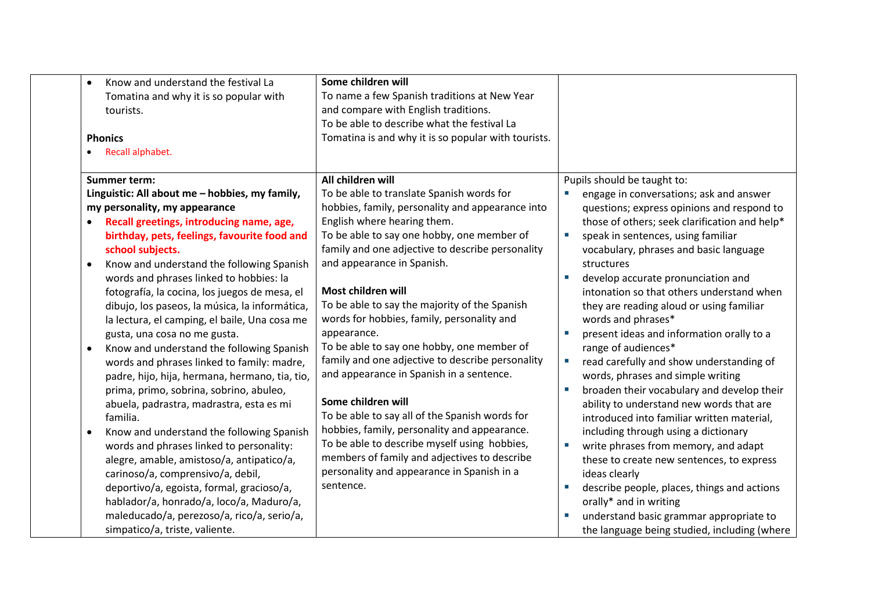| Know and understand the festival La<br>$\bullet$<br>Tomatina and why it is so popular with<br>tourists.<br><b>Phonics</b><br>Recall alphabet.                                                                                                                                                                                                                                                                                                                                                                                                                                                                                                                                                                                                                                                                                                                                                                                                                                                                                                                                                                | Some children will<br>To name a few Spanish traditions at New Year<br>and compare with English traditions.<br>To be able to describe what the festival La<br>Tomatina is and why it is so popular with tourists.                                                                                                                                                                                                                                                                                                                                                                                                                                                                                                                                                                                                                                       |                                                                                                                                                                                                                                                                                                                                                                                                                                                                                                                                                                                                                                                                                                                                                                                                                                                                                                                                                                                                                                               |
|--------------------------------------------------------------------------------------------------------------------------------------------------------------------------------------------------------------------------------------------------------------------------------------------------------------------------------------------------------------------------------------------------------------------------------------------------------------------------------------------------------------------------------------------------------------------------------------------------------------------------------------------------------------------------------------------------------------------------------------------------------------------------------------------------------------------------------------------------------------------------------------------------------------------------------------------------------------------------------------------------------------------------------------------------------------------------------------------------------------|--------------------------------------------------------------------------------------------------------------------------------------------------------------------------------------------------------------------------------------------------------------------------------------------------------------------------------------------------------------------------------------------------------------------------------------------------------------------------------------------------------------------------------------------------------------------------------------------------------------------------------------------------------------------------------------------------------------------------------------------------------------------------------------------------------------------------------------------------------|-----------------------------------------------------------------------------------------------------------------------------------------------------------------------------------------------------------------------------------------------------------------------------------------------------------------------------------------------------------------------------------------------------------------------------------------------------------------------------------------------------------------------------------------------------------------------------------------------------------------------------------------------------------------------------------------------------------------------------------------------------------------------------------------------------------------------------------------------------------------------------------------------------------------------------------------------------------------------------------------------------------------------------------------------|
| Summer term:<br>Linguistic: All about me - hobbies, my family,<br>my personality, my appearance<br>Recall greetings, introducing name, age,<br>birthday, pets, feelings, favourite food and<br>school subjects.<br>Know and understand the following Spanish<br>words and phrases linked to hobbies: la<br>fotografía, la cocina, los juegos de mesa, el<br>dibujo, los paseos, la música, la informática,<br>la lectura, el camping, el baile, Una cosa me<br>gusta, una cosa no me gusta.<br>Know and understand the following Spanish<br>$\bullet$<br>words and phrases linked to family: madre,<br>padre, hijo, hija, hermana, hermano, tia, tio,<br>prima, primo, sobrina, sobrino, abuleo,<br>abuela, padrastra, madrastra, esta es mi<br>familia.<br>Know and understand the following Spanish<br>words and phrases linked to personality:<br>alegre, amable, amistoso/a, antipatico/a,<br>carinoso/a, comprensivo/a, debil,<br>deportivo/a, egoista, formal, gracioso/a,<br>hablador/a, honrado/a, loco/a, Maduro/a,<br>maleducado/a, perezoso/a, rico/a, serio/a,<br>simpatico/a, triste, valiente. | All children will<br>To be able to translate Spanish words for<br>hobbies, family, personality and appearance into<br>English where hearing them.<br>To be able to say one hobby, one member of<br>family and one adjective to describe personality<br>and appearance in Spanish.<br>Most children will<br>To be able to say the majority of the Spanish<br>words for hobbies, family, personality and<br>appearance.<br>To be able to say one hobby, one member of<br>family and one adjective to describe personality<br>and appearance in Spanish in a sentence.<br>Some children will<br>To be able to say all of the Spanish words for<br>hobbies, family, personality and appearance.<br>To be able to describe myself using hobbies,<br>members of family and adjectives to describe<br>personality and appearance in Spanish in a<br>sentence. | Pupils should be taught to:<br>engage in conversations; ask and answer<br>questions; express opinions and respond to<br>those of others; seek clarification and help*<br>speak in sentences, using familiar<br>vocabulary, phrases and basic language<br>structures<br>develop accurate pronunciation and<br>intonation so that others understand when<br>they are reading aloud or using familiar<br>words and phrases*<br>present ideas and information orally to a<br>range of audiences*<br>read carefully and show understanding of<br>×.<br>words, phrases and simple writing<br>broaden their vocabulary and develop their<br>ability to understand new words that are<br>introduced into familiar written material,<br>including through using a dictionary<br>write phrases from memory, and adapt<br>these to create new sentences, to express<br>ideas clearly<br>describe people, places, things and actions<br>orally* and in writing<br>understand basic grammar appropriate to<br>the language being studied, including (where |